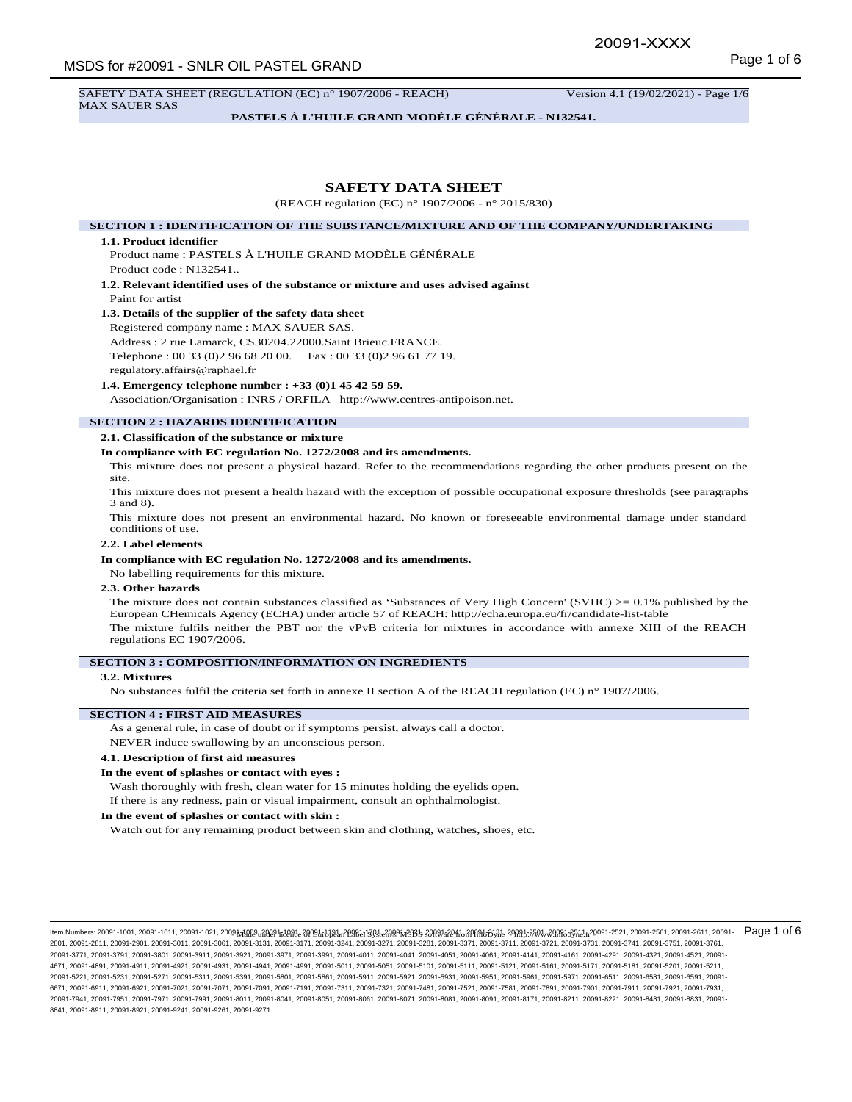SAFETY DATA SHEET (REGULATION (EC) n° 1907/2006 - REACH) Version 4.1 (19/02/2021) - Page 1/6 MAX SAUER SAS

**PASTELS À L'HUILE GRAND MODÈLE GÉNÉRALE - N132541.**

## **SAFETY DATA SHEET**

(REACH regulation (EC) n° 1907/2006 - n° 2015/830)

**SECTION 1 : IDENTIFICATION OF THE SUBSTANCE/MIXTURE AND OF THE COMPANY/UNDERTAKING**

#### **1.1. Product identifier**

Product name : PASTELS À L'HUILE GRAND MODÈLE GÉNÉRALE Product code : N132541..

**1.2. Relevant identified uses of the substance or mixture and uses advised against** Paint for artist

#### **1.3. Details of the supplier of the safety data sheet**

Registered company name : MAX SAUER SAS.

Address : 2 rue Lamarck, CS30204.22000.Saint Brieuc.FRANCE.

Telephone : 00 33 (0)2 96 68 20 00. Fax : 00 33 (0)2 96 61 77 19.

regulatory.affairs@raphael.fr

## **1.4. Emergency telephone number : +33 (0)1 45 42 59 59.**

Association/Organisation : INRS / ORFILA http://www.centres-antipoison.net.

## **SECTION 2 : HAZARDS IDENTIFICATION**

**2.1. Classification of the substance or mixture**

## **In compliance with EC regulation No. 1272/2008 and its amendments.**

This mixture does not present a physical hazard. Refer to the recommendations regarding the other products present on the site.

This mixture does not present a health hazard with the exception of possible occupational exposure thresholds (see paragraphs 3 and 8).

This mixture does not present an environmental hazard. No known or foreseeable environmental damage under standard conditions of use.

### **2.2. Label elements**

#### **In compliance with EC regulation No. 1272/2008 and its amendments.**

No labelling requirements for this mixture.

### **2.3. Other hazards**

The mixture does not contain substances classified as 'Substances of Very High Concern' (SVHC)  $> = 0.1\%$  published by the European CHemicals Agency (ECHA) under article 57 of REACH: http://echa.europa.eu/fr/candidate-list-table The mixture fulfils neither the PBT nor the vPvB criteria for mixtures in accordance with annexe XIII of the REACH regulations EC 1907/2006.

#### **SECTION 3 : COMPOSITION/INFORMATION ON INGREDIENTS**

#### **3.2. Mixtures**

No substances fulfil the criteria set forth in annexe II section A of the REACH regulation (EC) n° 1907/2006.

#### **SECTION 4 : FIRST AID MEASURES**

As a general rule, in case of doubt or if symptoms persist, always call a doctor.

NEVER induce swallowing by an unconscious person.

### **4.1. Description of first aid measures**

#### **In the event of splashes or contact with eyes :**

Wash thoroughly with fresh, clean water for 15 minutes holding the eyelids open.

If there is any redness, pain or visual impairment, consult an ophthalmologist.

#### **In the event of splashes or contact with skin :**

Watch out for any remaining product between skin and clothing, watches, shoes, etc.

llem Numbers: 20091-1001, 20091-1011, 20091-1021, 20091<u>,1089, 20091, 1081, 20091, 1081, 20091, 20098, 20091, 20091, 20081, 2008, 20091, 2009, 2008, 2009, 2008, 2008, 2008, 2008, 2008, 2009, 2008, 2008, 2008, 2008, 2008, 2</u> 2801, 20091-2811, 20091-2901, 20091-3011, 20091-3061, 20091-3131, 20091-3171, 20091-3241, 20091-3271, 20091-3281, 20091-3371, 20091-3711, 20091-3721, 20091-3731, 20091-3741, 20091-3751, 20091-3761, 20091-3771, 20091-3791, 20091-3801, 20091-3911, 20091-3921, 20091-3971, 20091-3991, 20091-4011, 20091-4041, 20091-4051, 20091-4061, 20091-4141, 20091-4161, 20091-4291, 20091-4321, 20091-4521, 20091- 4671, 20091-4891, 20091-4911, 20091-4921, 20091-4931, 20091-4941, 20091-4991, 20091-5011, 20091-5051, 20091-5101, 20091-5111, 20091-5121, 20091-5161, 20091-5171, 20091-5181, 20091-5201, 20091-5211, 20091-5221, 20091-5231, 20091-5271, 20091-5311, 20091-5391, 20091-5801, 20091-5861, 20091-5911, 20091-5921, 20091-5931, 20091-5951, 20091-5961, 20091-5971, 20091-6511, 20091-6581, 20091-6591, 20091- 6671, 20091-6911, 20091-6921, 20091-7021, 20091-7071, 20091-7091, 20091-7191, 20091-7311, 20091-7321, 20091-7481, 20091-7521, 20091-7581, 20091-7881, 20091-7991, 20091-7901, 20091-7921, 20091-7921, 20091-7931, 20091-7941, 20091-7951, 20091-7971, 20091-7991, 20091-8011, 20091-8041, 20091-8051, 20091-8061, 20091-8071, 20091-8081, 20091-8091, 20091-8171, 20091-8211, 20091-8221, 20091-8481, 20091-8831, 20091- 8841, 20091-8911, 20091-8921, 20091-9241, 20091-9261, 20091-9271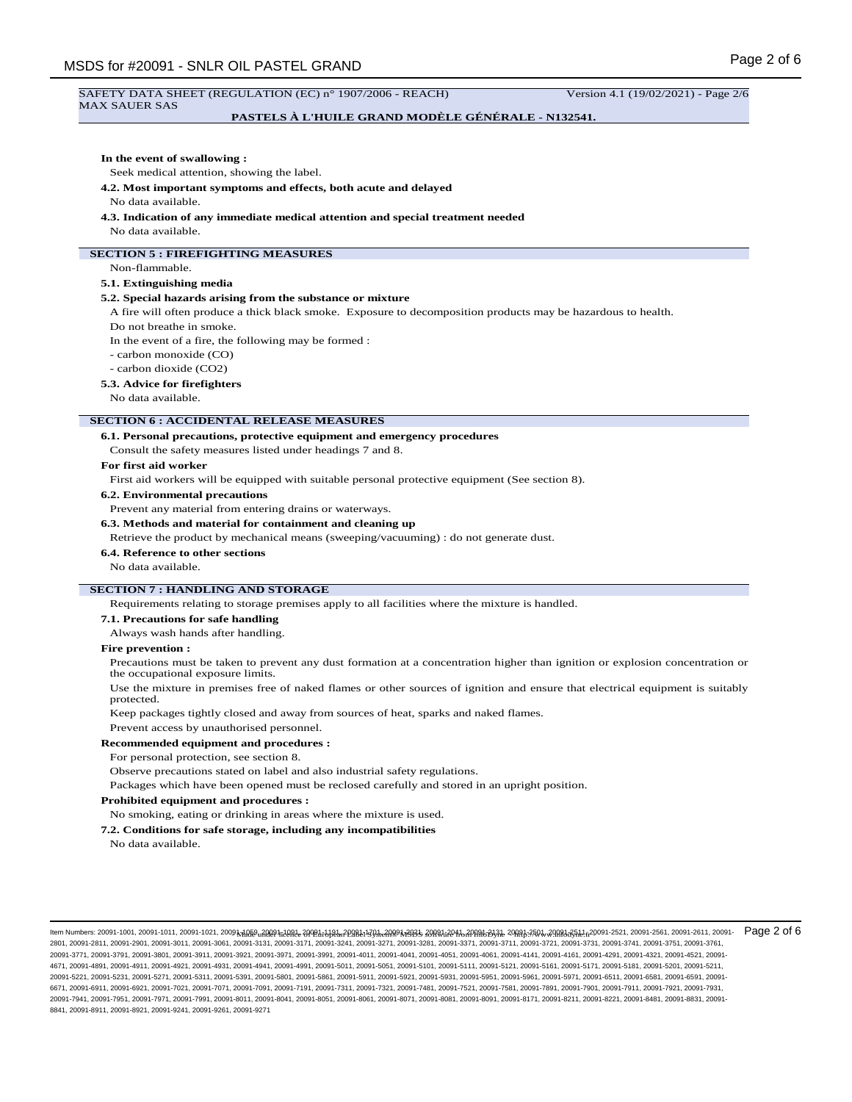# Page 2 of 6 MSDS for #20091 - SNLR OIL PASTEL GRAND SAFETY DATA SHEET (REGULATION (EC) n° 1907/2006 - REACH) Version 4.1 (19/02/2021) - Page 2/6 MAX SAUER SAS **PASTELS À L'HUILE GRAND MODÈLE GÉNÉRALE - N132541. In the event of swallowing :** Seek medical attention, showing the label. **4.2. Most important symptoms and effects, both acute and delayed** No data available. **4.3. Indication of any immediate medical attention and special treatment needed** No data available. **SECTION 5 : FIREFIGHTING MEASURES** Non-flammable. **5.1. Extinguishing media 5.2. Special hazards arising from the substance or mixture** A fire will often produce a thick black smoke. Exposure to decomposition products may be hazardous to health. Do not breathe in smoke. In the event of a fire, the following may be formed : - carbon monoxide (CO) - carbon dioxide (CO2) **5.3. Advice for firefighters** No data available. **SECTION 6 : ACCIDENTAL RELEASE MEASURES 6.1. Personal precautions, protective equipment and emergency procedures** Consult the safety measures listed under headings 7 and 8. **For first aid worker** First aid workers will be equipped with suitable personal protective equipment (See section 8). **6.2. Environmental precautions** Prevent any material from entering drains or waterways. **6.3. Methods and material for containment and cleaning up** Retrieve the product by mechanical means (sweeping/vacuuming) : do not generate dust. **6.4. Reference to other sections** No data available. **SECTION 7 : HANDLING AND STORAGE** Requirements relating to storage premises apply to all facilities where the mixture is handled. **7.1. Precautions for safe handling** Always wash hands after handling. **Fire prevention :** Precautions must be taken to prevent any dust formation at a concentration higher than ignition or explosion concentration or the occupational exposure limits. Use the mixture in premises free of naked flames or other sources of ignition and ensure that electrical equipment is suitably protected. Keep packages tightly closed and away from sources of heat, sparks and naked flames. Prevent access by unauthorised personnel. **Recommended equipment and procedures :** For personal protection, see section 8. Observe precautions stated on label and also industrial safety regulations. Packages which have been opened must be reclosed carefully and stored in an upright position. **Prohibited equipment and procedures :** No smoking, eating or drinking in areas where the mixture is used. **7.2. Conditions for safe storage, including any incompatibilities** No data available.

llem Numbers: 20091-1001, 20091-1011, 20091-1021, 20091<u>,1089, 20091, 1081, 20091, 1081, 20091, 20098, 20091, 20091, 20081, 2008, 20091, 2009, 2008, 2009, 2008, 2008, 2008, 2008, 2008, 2009, 2008, 2008, 2008, 2008, 2008, 2</u> 2801, 20091-2811, 20091-2901, 20091-3011, 20091-3061, 20091-3131, 20091-3171, 20091-3241, 20091-3271, 20091-3281, 20091-3371, 20091-3711, 20091-3721, 20091-3731, 20091-3741, 20091-3751, 20091-3761, 20091-3771, 20091-3791, 20091-3801, 20091-3911, 20091-3921, 20091-3971, 20091-3991, 20091-4011, 20091-4041, 20091-4051, 20091-4061, 20091-4141, 20091-4161, 20091-4291, 20091-4321, 20091-4521, 20091- 4671, 20091-4891, 20091-4911, 20091-4921, 20091-4931, 20091-4941, 20091-4991, 20091-5011, 20091-5051, 20091-5101, 20091-5111, 20091-5121, 20091-5161, 20091-5171, 20091-5181, 20091-5201, 20091-5211, 20091-5221, 20091-5231, 20091-5271, 20091-5311, 20091-5391, 20091-5801, 20091-5861, 20091-5911, 20091-5921, 20091-5931, 20091-5951, 20091-5961, 20091-5971, 20091-6511, 20091-6581, 20091-6591, 20091- 6671, 20091-6911, 20091-6921, 20091-7021, 20091-7071, 20091-7091, 20091-7191, 20091-7311, 20091-7321, 20091-7481, 20091-7521, 20091-7581, 20091-7891, 20091-7901, 20091-7911, 20091-7921, 20091-7931, 20091-7941, 20091-7951, 20091-7971, 20091-7991, 20091-8011, 20091-8041, 20091-8051, 20091-8061, 20091-8071, 20091-8081, 20091-8091, 20091-8171, 20091-8211, 20091-8221, 20091-8481, 20091-8831, 20091- 8841, 20091-8911, 20091-8921, 20091-9241, 20091-9261, 20091-9271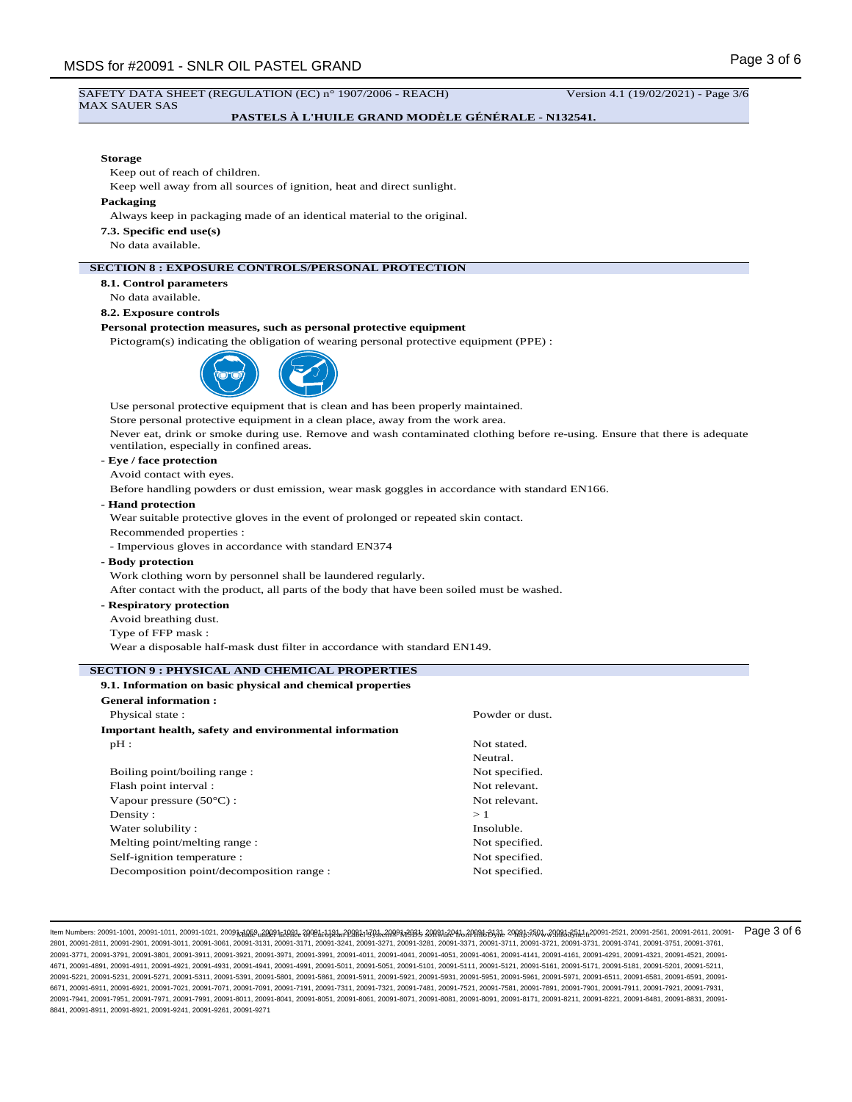### SAFETY DATA SHEET (REGULATION (EC) n° 1907/2006 - REACH) Version 4.1 (19/02/2021) - Page 3/6 MAX SAUER SAS

## **PASTELS À L'HUILE GRAND MODÈLE GÉNÉRALE - N132541.**

## **Storage**

Keep out of reach of children.

Keep well away from all sources of ignition, heat and direct sunlight.

#### **Packaging**

Always keep in packaging made of an identical material to the original.

**7.3. Specific end use(s)**

No data available.

### **SECTION 8 : EXPOSURE CONTROLS/PERSONAL PROTECTION**

**8.1. Control parameters**

No data available.

## **8.2. Exposure controls**

## **Personal protection measures, such as personal protective equipment**

Pictogram(s) indicating the obligation of wearing personal protective equipment (PPE) :



Use personal protective equipment that is clean and has been properly maintained.

Store personal protective equipment in a clean place, away from the work area.

Never eat, drink or smoke during use. Remove and wash contaminated clothing before re-using. Ensure that there is adequate ventilation, especially in confined areas.

## **- Eye / face protection**

Avoid contact with eyes.

Before handling powders or dust emission, wear mask goggles in accordance with standard EN166.

## **- Hand protection**

Wear suitable protective gloves in the event of prolonged or repeated skin contact. Recommended properties :

- Impervious gloves in accordance with standard EN374

**- Body protection**

Work clothing worn by personnel shall be laundered regularly.

After contact with the product, all parts of the body that have been soiled must be washed.

**- Respiratory protection**

Avoid breathing dust.

Type of FFP mask :

Wear a disposable half-mask dust filter in accordance with standard EN149.

#### **SECTION 9 : PHYSICAL AND CHEMICAL PROPERTIES**

#### **9.1. Information on basic physical and chemical properties General information :**

| менегат пимпаатин.                                     |                 |
|--------------------------------------------------------|-----------------|
| Physical state:                                        | Powder or dust. |
| Important health, safety and environmental information |                 |
| $pH$ :                                                 | Not stated.     |
|                                                        | Neutral.        |
| Boiling point/boiling range:                           | Not specified.  |
| Flash point interval :                                 | Not relevant.   |
| Vapour pressure $(50^{\circ}C)$ :                      | Not relevant.   |
| Density:                                               | >1              |
| Water solubility:                                      | Insoluble.      |
| Melting point/melting range:                           | Not specified.  |
| Self-ignition temperature :                            | Not specified.  |
| Decomposition point/decomposition range :              | Not specified.  |

llem Numbers: 20091-1001, 20091-1011, 20091-1021, 20091<u>,1089, 20091, 1081, 20091, 1081, 20091, 20098, 20091, 20091, 20081, 2008, 20091, 2009, 2008, 2009, 2008, 2008, 2.200, 2.200, 2.200, 20091-2521, 20091-2521, 20091-2521</u> 2801, 20091-2811, 20091-2901, 20091-3011, 20091-3061, 20091-3131, 20091-3171, 20091-3241, 20091-3271, 20091-3281, 20091-3371, 20091-3711, 20091-3721, 20091-3731, 20091-3741, 20091-3751, 20091-3761, 20091-3771, 20091-3791, 20091-3801, 20091-3911, 20091-3921, 20091-3971, 20091-3991, 20091-4011, 20091-4041, 20091-4051, 20091-4061, 20091-4141, 20091-4161, 20091-4291, 20091-4321, 20091-4521, 20091- 4671, 20091-4891, 20091-4911, 20091-4921, 20091-4931, 20091-4941, 20091-4991, 20091-5011, 20091-5051, 20091-5101, 20091-5111, 20091-5121, 20091-5161, 20091-5171, 20091-5181, 20091-5201, 20091-5211, 20091-5221, 20091-5231, 20091-5271, 20091-5311, 20091-5391, 20091-5801, 20091-5861, 20091-5911, 20091-5921, 20091-5931, 20091-5951, 20091-5961, 20091-5971, 20091-6511, 20091-6581, 20091-6591, 20091- 6671, 20091-6911, 20091-6921, 20091-7021, 20091-7071, 20091-7091, 20091-7191, 20091-7311, 20091-7321, 20091-7481, 20091-7521, 20091-7581, 20091-7891, 20091-7901, 20091-7911, 20091-7921, 20091-7931, 20091-7941, 20091-7951, 20091-7971, 20091-7991, 20091-8011, 20091-8041, 20091-8051, 20091-8061, 20091-8071, 20091-8081, 20091-8091, 20091-8171, 20091-8211, 20091-8221, 20091-8481, 20091-8831, 20091- 8841, 20091-8911, 20091-8921, 20091-9241, 20091-9261, 20091-9271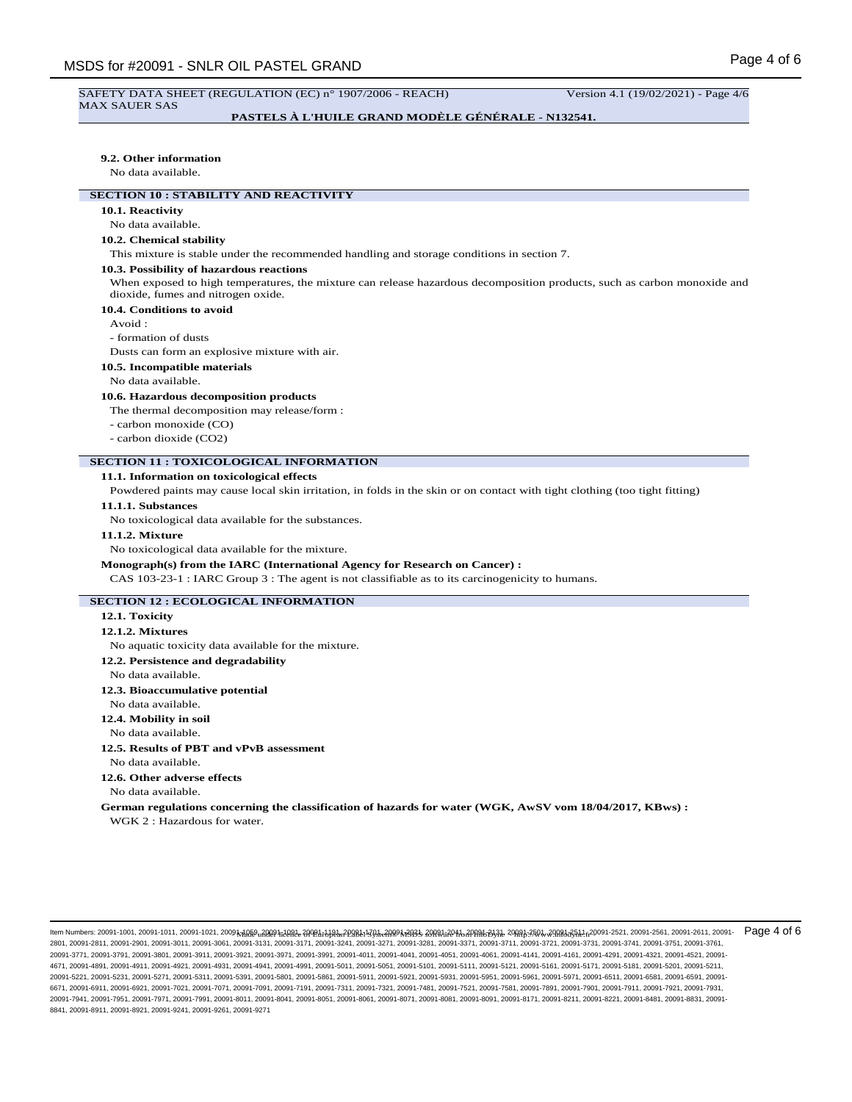#### SAFETY DATA SHEET (REGULATION (EC) n° 1907/2006 - REACH) Version 4.1 (19/02/2021) - Page 4/6 MAX SAUER SAS

## **PASTELS À L'HUILE GRAND MODÈLE GÉNÉRALE - N132541.**

### **9.2. Other information**

No data available.

## **SECTION 10 : STABILITY AND REACTIVITY**

## **10.1. Reactivity**

No data available.

### **10.2. Chemical stability**

This mixture is stable under the recommended handling and storage conditions in section 7.

#### **10.3. Possibility of hazardous reactions**

When exposed to high temperatures, the mixture can release hazardous decomposition products, such as carbon monoxide and dioxide, fumes and nitrogen oxide.

### **10.4. Conditions to avoid**

Avoid :

- formation of dusts

Dusts can form an explosive mixture with air.

**10.5. Incompatible materials**

#### No data available.

#### **10.6. Hazardous decomposition products**

The thermal decomposition may release/form :

- carbon monoxide (CO)
- carbon dioxide (CO2)

#### **SECTION 11 : TOXICOLOGICAL INFORMATION**

#### **11.1. Information on toxicological effects**

Powdered paints may cause local skin irritation, in folds in the skin or on contact with tight clothing (too tight fitting)

### **11.1.1. Substances**

No toxicological data available for the substances.

#### **11.1.2. Mixture**

No toxicological data available for the mixture.

#### **Monograph(s) from the IARC (International Agency for Research on Cancer) :**

CAS 103-23-1 : IARC Group 3 : The agent is not classifiable as to its carcinogenicity to humans.

### **SECTION 12 : ECOLOGICAL INFORMATION**

#### **12.1. Toxicity**

#### **12.1.2. Mixtures**

No aquatic toxicity data available for the mixture.

**12.2. Persistence and degradability**

### No data available.

**12.3. Bioaccumulative potential**

#### No data available.

**12.4. Mobility in soil**

No data available.

**12.5. Results of PBT and vPvB assessment**

No data available.

**12.6. Other adverse effects** No data available.

**German regulations concerning the classification of hazards for water (WGK, AwSV vom 18/04/2017, KBws) :** WGK 2 : Hazardous for water.

llem Numbers: 20091-1001, 20091-1011, 20091-1021, 20091<u>,1089, 20091, 1081, 20091, 1081, 20091, 20098, 20091, 20091, 20081, 2008, 20091, 2009, 2008, 2009, 2008, 2008, 2008, 2008, 2008, 2009, 2008, 2008, 2008, 2008, 2008, 2</u> 2801, 20091-2811, 20091-2901, 20091-3011, 20091-3061, 20091-3131, 20091-3171, 20091-3241, 20091-3271, 20091-3281, 20091-3371, 20091-3711, 20091-3721, 20091-3731, 20091-3741, 20091-3751, 20091-3761, 20091-3771, 20091-3791, 20091-3801, 20091-3911, 20091-3921, 20091-3971, 20091-3991, 20091-4011, 20091-4041, 20091-4051, 20091-4061, 20091-4141, 20091-4161, 20091-4291, 20091-4321, 20091-4521, 20091- 4671, 20091-4891, 20091-4911, 20091-4921, 20091-4931, 20091-4941, 20091-4991, 20091-5011, 20091-5051, 20091-5101, 20091-5111, 20091-5121, 20091-5161, 20091-5171, 20091-5181, 20091-5201, 20091-5211, 20091-5221, 20091-5231, 20091-5271, 20091-5311, 20091-5391, 20091-5801, 20091-5861, 20091-5911, 20091-5921, 20091-5931, 20091-5951, 20091-5961, 20091-5971, 20091-6511, 20091-6581, 20091-6591, 20091- 6671, 20091-6911, 20091-6921, 20091-7021, 20091-7071, 20091-7091, 20091-7191, 20091-7311, 20091-7321, 20091-7481, 20091-7521, 20091-7581, 20091-7891, 20091-7901, 20091-7911, 20091-7921, 20091-7931, 20091-7941, 20091-7951, 20091-7971, 20091-7991, 20091-8011, 20091-8041, 20091-8051, 20091-8061, 20091-8071, 20091-8081, 20091-8091, 20091-8171, 20091-8211, 20091-8221, 20091-8481, 20091-8831, 20091- 8841, 20091-8911, 20091-8921, 20091-9241, 20091-9261, 20091-9271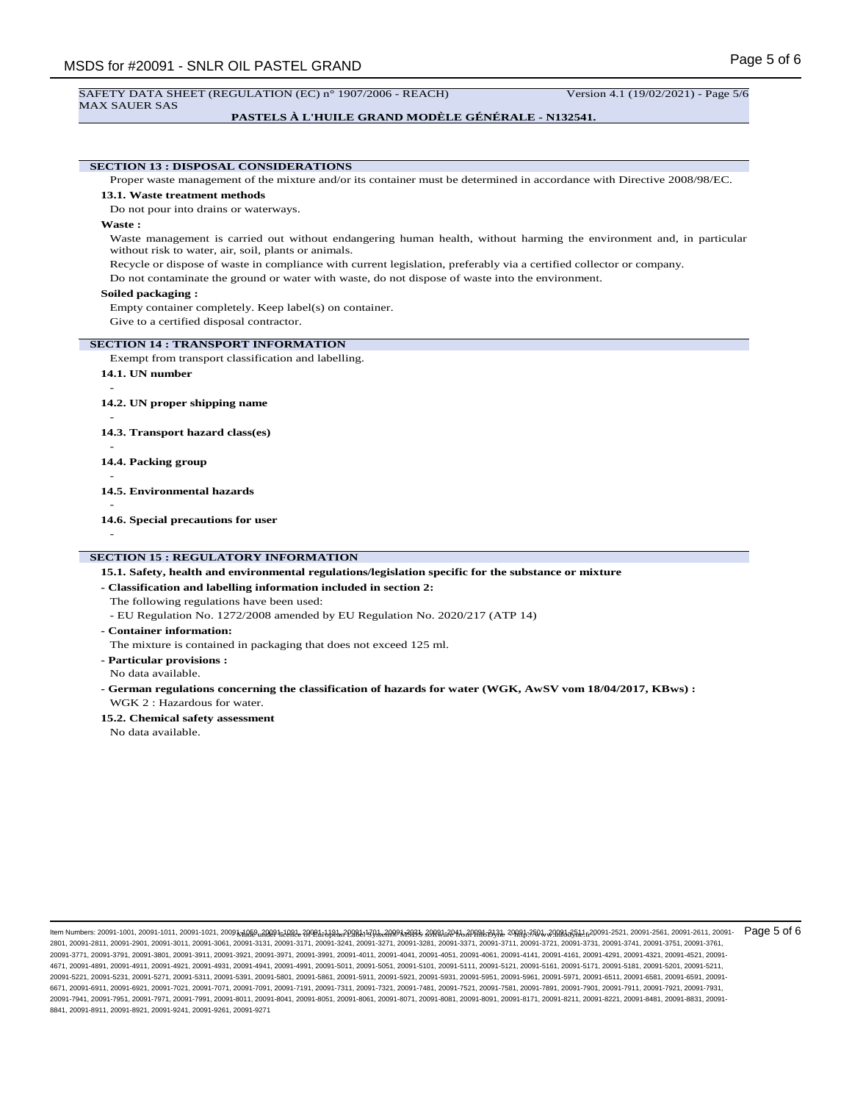#### SAFETY DATA SHEET (REGULATION (EC) n° 1907/2006 - REACH) Version 4.1 (19/02/2021) - Page 5/6 MAX SAUER SAS

## **PASTELS À L'HUILE GRAND MODÈLE GÉNÉRALE - N132541.**

**SECTION 13 : DISPOSAL CONSIDERATIONS** Proper waste management of the mixture and/or its container must be determined in accordance with Directive 2008/98/EC. **13.1. Waste treatment methods** Do not pour into drains or waterways. **Waste :** Waste management is carried out without endangering human health, without harming the environment and, in particular without risk to water, air, soil, plants or animals. Recycle or dispose of waste in compliance with current legislation, preferably via a certified collector or company. Do not contaminate the ground or water with waste, do not dispose of waste into the environment. **Soiled packaging :** Empty container completely. Keep label(s) on container. Give to a certified disposal contractor. **SECTION 14 : TRANSPORT INFORMATION** Exempt from transport classification and labelling. **14.1. UN number** - **14.2. UN proper shipping name** - **14.3. Transport hazard class(es)** - **14.4. Packing group** - **14.5. Environmental hazards** - **14.6. Special precautions for user** -

## **SECTION 15 : REGULATORY INFORMATION**

**15.1. Safety, health and environmental regulations/legislation specific for the substance or mixture**

**- Classification and labelling information included in section 2:**

The following regulations have been used:

- EU Regulation No. 1272/2008 amended by EU Regulation No. 2020/217 (ATP 14)
- **Container information:**

The mixture is contained in packaging that does not exceed 125 ml.

**- Particular provisions :** No data available.

- **German regulations concerning the classification of hazards for water (WGK, AwSV vom 18/04/2017, KBws) :** WGK 2 · Hazardous for water.
- **15.2. Chemical safety assessment**

No data available.